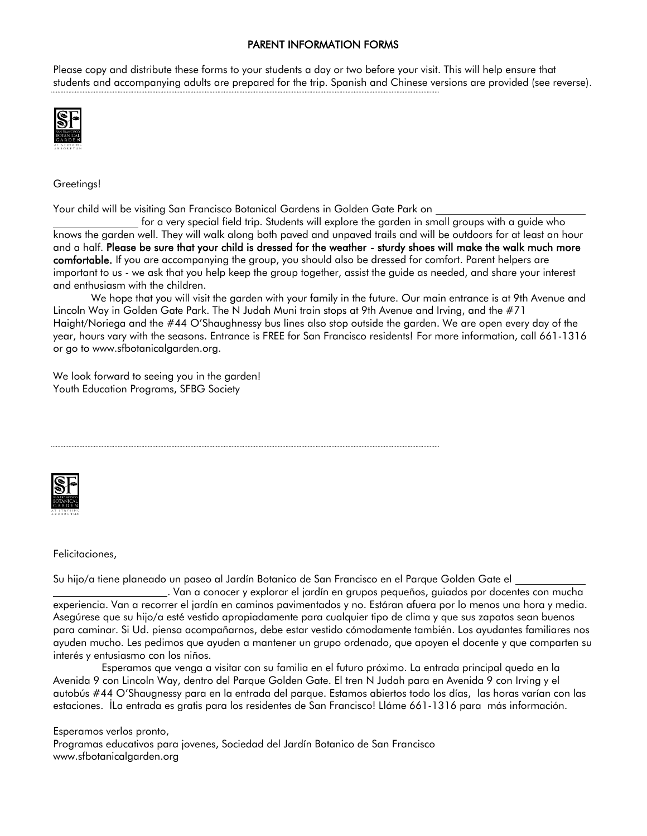## PARENT INFORMATION FORMS

Please copy and distribute these forms to your students a day or two before your visit. This will help ensure that students and accompanying adults are prepared for the trip. Spanish and Chinese versions are provided (see reverse).



Greetings!

Your child will be visiting San Francisco Botanical Gardens in Golden Gate Park on

 for a very special field trip. Students will explore the garden in small groups with a guide who knows the garden well. They will walk along both paved and unpaved trails and will be outdoors for at least an hour and a half. Please be sure that your child is dressed for the weather - sturdy shoes will make the walk much more comfortable. If you are accompanying the group, you should also be dressed for comfort. Parent helpers are important to us - we ask that you help keep the group together, assist the guide as needed, and share your interest and enthusiasm with the children.

We hope that you will visit the garden with your family in the future. Our main entrance is at 9th Avenue and Lincoln Way in Golden Gate Park. The N Judah Muni train stops at 9th Avenue and Irving, and the #71 Haight/Noriega and the #44 O'Shaughnessy bus lines also stop outside the garden. We are open every day of the year, hours vary with the seasons. Entrance is FREE for San Francisco residents! For more information, call 661-1316 or go to www.sfbotanicalgarden.org.

We look forward to seeing you in the garden! Youth Education Programs, SFBG Society



Felicitaciones,

Su hijo/a tiene planeado un paseo al Jardín Botanico de San Francisco en el Parque Golden Gate el

. Van a conocer y explorar el jardín en grupos pequeños, guiados por docentes con mucha experiencia. Van a recorrer el jardín en caminos pavimentados y no. Estáran afuera por lo menos una hora y media. Asegúrese que su hijo/a esté vestido apropiadamente para cualquier tipo de clima y que sus zapatos sean buenos para caminar. Si Ud. piensa acompañarnos, debe estar vestido cómodamente también. Los ayudantes familiares nos ayuden mucho. Les pedimos que ayuden a mantener un grupo ordenado, que apoyen el docente y que comparten su interés y entusiasmo con los niños.

Esperamos que venga a visitar con su familia en el futuro próximo. La entrada principal queda en la Avenida 9 con Lincoln Way, dentro del Parque Golden Gate. El tren N Judah para en Avenida 9 con Irving y el autobús #44 O'Shaugnessy para en la entrada del parque. Estamos abiertos todo los días, las horas varían con las estaciones. İLa entrada es gratis para los residentes de San Francisco! Lláme 661-1316 para más información.

Esperamos verlos pronto,

Programas educativos para jovenes, Sociedad del Jardín Botanico de San Francisco www.sfbotanicalgarden.org